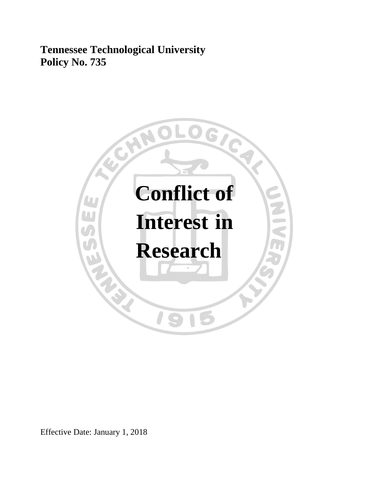**Tennessee Technological University Policy No. 735**



Effective Date: January 1, 2018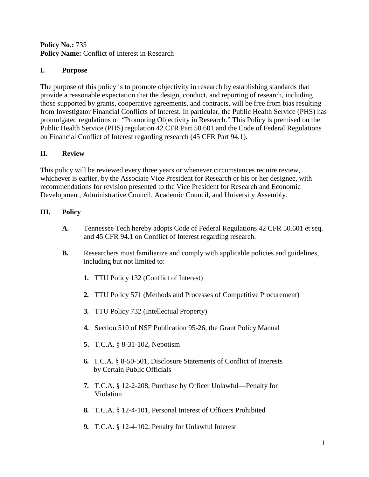#### **Policy No.:** 735 Policy Name: Conflict of Interest in Research

## **I. Purpose**

The purpose of this policy is to promote objectivity in research by establishing standards that provide a reasonable expectation that the design, conduct, and reporting of research, including those supported by grants, cooperative agreements, and contracts, will be free from bias resulting from Investigator Financial Conflicts of Interest. In particular, the Public Health Service (PHS) has promulgated regulations on "Promoting Objectivity in Research." This Policy is premised on the Public Health Service (PHS) regulation 42 CFR Part 50.601 and the Code of Federal Regulations on Financial Conflict of Interest regarding research (45 CFR Part 94.1).

## **II. Review**

This policy will be reviewed every three years or whenever circumstances require review, whichever is earlier, by the Associate Vice President for Research or his or her designee, with recommendations for revision presented to the Vice President for Research and Economic Development, Administrative Council, Academic Council, and University Assembly.

# **III. Policy**

- **A.** Tennessee Tech hereby adopts Code of Federal Regulations 42 CFR 50.601 et seq. and 45 CFR 94.1 on Conflict of Interest regarding research.
- **B.** Researchers must familiarize and comply with applicable policies and guidelines, including but not limited to:
	- **1.** TTU Policy 132 (Conflict of Interest)
	- **2.** TTU Policy 571 (Methods and Processes of Competitive Procurement)
	- **3.** TTU Policy 732 (Intellectual Property)
	- **4.** Section 510 of NSF Publication 95-26, the Grant Policy Manual
	- **5.** T.C.A. § 8-31-102, Nepotism
	- **6.** T.C.A. § 8-50-501, Disclosure Statements of Conflict of Interests by Certain Public Officials
	- **7.** T.C.A. § 12-2-208, Purchase by Officer Unlawful—Penalty for Violation
	- **8.** T.C.A. § 12-4-101, Personal Interest of Officers Prohibited
	- **9.** T.C.A. § 12-4-102, Penalty for Unlawful Interest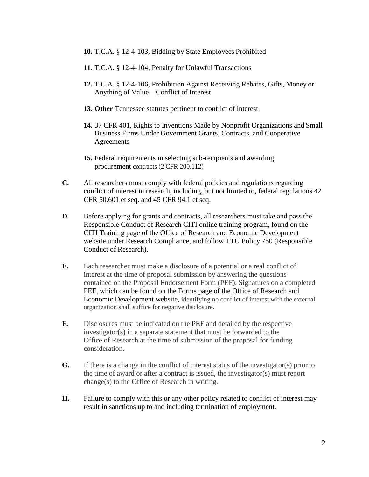- **10.** T.C.A. § 12-4-103, Bidding by State Employees Prohibited
- **11.** T.C.A. § 12-4-104, Penalty for Unlawful Transactions
- **12.** T.C.A. § 12-4-106, Prohibition Against Receiving Rebates, Gifts, Money or Anything of Value—Conflict of Interest
- **13. Other** Tennessee statutes pertinent to conflict of interest
- **14.** 37 CFR 401, Rights to Inventions Made by Nonprofit Organizations and Small Business Firms Under Government Grants, Contracts, and Cooperative Agreements
- **15.** Federal requirements in selecting sub-recipients and awarding procurement contracts (2 CFR 200.112)
- **C.** All researchers must comply with federal policies and regulations regarding conflict of interest in research, including, but not limited to, federal regulations 42 CFR 50.601 et seq. and 45 CFR 94.1 et seq.
- **D.** Before applying for grants and contracts, all researchers must take and pass the Responsible Conduct of Research CITI online training program, found on the CITI Training page of the Office of Research and Economic Development website under Research Compliance, and follow TTU Policy 750 (Responsible Conduct of Research).
- **E.** Each researcher must make a disclosure of a potential or a real conflict of interest at the time of proposal submission by answering the questions contained on the Proposal Endorsement Form (PEF). Signatures on a completed PEF, which can be found on the Forms page of the Office of Research and Economic Development website, identifying no conflict of interest with the external organization shall suffice for negative disclosure.
- **F.** Disclosures must be indicated on the PEF and detailed by the respective investigator(s) in a separate statement that must be forwarded to the Office of Research at the time of submission of the proposal for funding consideration.
- **G.** If there is a change in the conflict of interest status of the investigator(s) prior to the time of award or after a contract is issued, the investigator(s) must report change(s) to the Office of Research in writing.
- **H.** Failure to comply with this or any other policy related to conflict of interest may result in sanctions up to and including termination of employment.